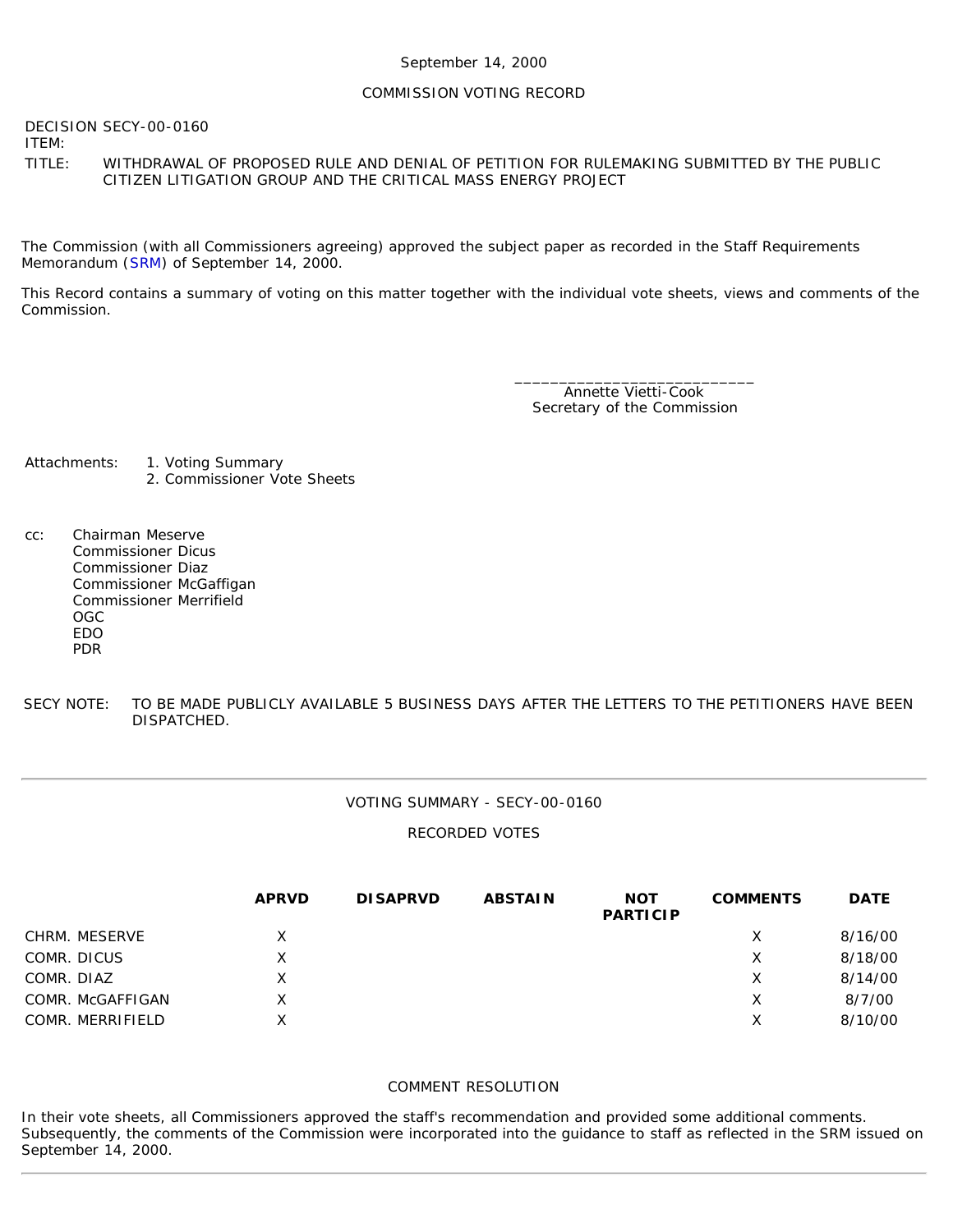### September 14, 2000

## COMMISSION VOTING RECORD

DECISION SECY-00-0160

ITEM:

TITLE: WITHDRAWAL OF PROPOSED RULE AND DENIAL OF PETITION FOR RULEMAKING SUBMITTED BY THE PUBLIC CITIZEN LITIGATION GROUP AND THE CRITICAL MASS ENERGY PROJECT

The Commission (with all Commissioners agreeing) approved the subject paper as recorded in the Staff Requirements Memorandum ([SRM\)](http://www.nrc.gov/reading-rm/doc-collections/commission/srm/2000/2000-0160srm.html) of September 14, 2000.

This Record contains a summary of voting on this matter together with the individual vote sheets, views and comments of the Commission.

> \_\_\_\_\_\_\_\_\_\_\_\_\_\_\_\_\_\_\_\_\_\_\_\_\_\_\_ Annette Vietti-Cook Secretary of the Commission

- Attachments: 1. Voting Summary 2. Commissioner Vote Sheets
- cc: Chairman Meserve Commissioner Dicus Commissioner Diaz Commissioner McGaffigan Commissioner Merrifield OGC EDO PDR
- SECY NOTE: TO BE MADE PUBLICLY AVAILABLE 5 BUSINESS DAYS AFTER THE LETTERS TO THE PETITIONERS HAVE BEEN DISPATCHED.

#### VOTING SUMMARY - SECY-00-0160

RECORDED VOTES

|                  | <b>APRVD</b> | <b>DISAPRVD</b> | <b>ABSTAIN</b> | <b>NOT</b><br><b>PARTICIP</b> | <b>COMMENTS</b> | <b>DATE</b> |
|------------------|--------------|-----------------|----------------|-------------------------------|-----------------|-------------|
| CHRM. MESERVE    | X            |                 |                |                               | х               | 8/16/00     |
| COMR. DICUS      | x            |                 |                |                               | X               | 8/18/00     |
| COMR. DIAZ       | x            |                 |                |                               | X               | 8/14/00     |
| COMR. McGAFFIGAN | X            |                 |                |                               | X               | 8/7/00      |
| COMR. MERRIFIELD | x            |                 |                |                               | х               | 8/10/00     |

## COMMENT RESOLUTION

In their vote sheets, all Commissioners approved the staff's recommendation and provided some additional comments. Subsequently, the comments of the Commission were incorporated into the guidance to staff as reflected in the SRM issued on September 14, 2000.